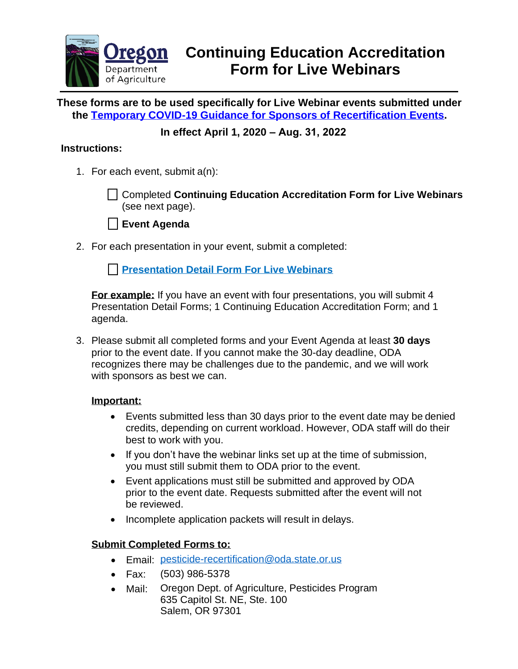

**These forms are to be used specifically for Live Webinar events submitted under the Temporary COVID-19 Guidance [for Sponsors of Recertification Events.](https://www.oregon.gov/ODA/programs/Pesticides/Licensing/Documents/PesticideEventSponsorGuidanceCOVID-19.pdf)**

# **In effect April 1, 2020 – Aug. 31, 2022**

### **Instructions:**

1. For each event, submit a(n):

Completed **Continuing Education Accreditation Form for Live Webinars** (see next page).



2. For each presentation in your event, submit a completed:

**[Presentation Detail Form](https://www.oregon.gov/ODA/shared/Documents/Publications/PesticidesPARC/PresentationDetailFormLiveWeb.pdf) For Live Webinars**

**For example:** If you have an event with four presentations, you will submit 4 Presentation Detail Forms; 1 Continuing Education Accreditation Form; and 1 agenda.

3. Please submit all completed forms and your Event Agenda at least **30 days** prior to the event date. If you cannot make the 30-day deadline, ODA recognizes there may be challenges due to the pandemic, and we will work with sponsors as best we can.

#### **Important:**

- Events submitted less than 30 days prior to the event date may be denied credits, depending on current workload. However, ODA staff will do their best to work with you.
- If you don't have the webinar links set up at the time of submission, you must still submit them to ODA prior to the event.
- Event applications must still be submitted and approved by ODA prior to the event date. Requests submitted after the event will not be reviewed.
- Incomplete application packets will result in delays.

#### **Submit Completed Forms to:**

- Email: [pesticide-recertification@oda.state.or.us](mailto:pesticide-recertification@oda.state.or.us)
- Fax: (503) 986-5378
- Mail: Oregon Dept. of Agriculture, Pesticides Program 635 Capitol St. NE, Ste. 100 Salem, OR 97301